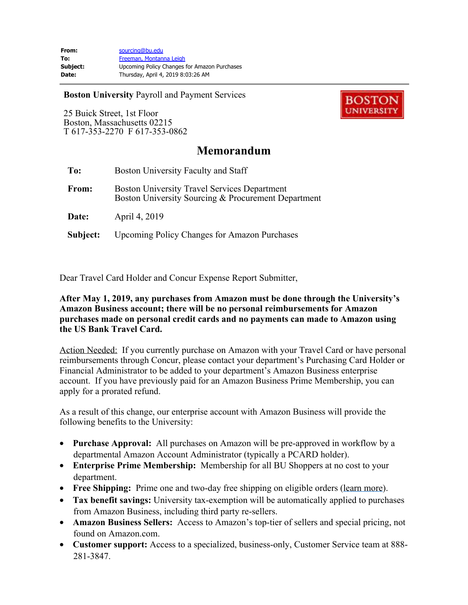**Boston University** Payroll and Payment Services

25 Buick Street, 1st Floor Boston, Massachusetts 02215 T 617-353-2270 F 617-353-0862



## **Memorandum**

| To:      | Boston University Faculty and Staff                                                                        |
|----------|------------------------------------------------------------------------------------------------------------|
| From:    | <b>Boston University Travel Services Department</b><br>Boston University Sourcing & Procurement Department |
| Date:    | April 4, 2019                                                                                              |
| Subject: | <b>Upcoming Policy Changes for Amazon Purchases</b>                                                        |

Dear Travel Card Holder and Concur Expense Report Submitter,

## **After May 1, 2019, any purchases from Amazon must be done through the University's Amazon Business account; there will be no personal reimbursements for Amazon purchases made on personal credit cards and no payments can made to Amazon using the US Bank Travel Card.**

Action Needed: If you currently purchase on Amazon with your Travel Card or have personal reimbursements through Concur, please contact your department's Purchasing Card Holder or Financial Administrator to be added to your department's Amazon Business enterprise account. If you have previously paid for an Amazon Business Prime Membership, you can apply for a prorated refund.

As a result of this change, our enterprise account with Amazon Business will provide the following benefits to the University:

- · **Purchase Approval:** All purchases on Amazon will be pre-approved in workflow by a departmental Amazon Account Administrator (typically a PCARD holder).
- · **Enterprise Prime Membership:** Membership for all BU Shoppers at no cost to your department.
- · **Free Shipping:** Prime one and two-day free shipping on eligible orders [\(learn more](https://www.amazon.com/gp/help/customer/display.html/ref=hp_left_v4_sib?ie=UTF8&nodeId=202082690)).
- · **Tax benefit savings:** University tax-exemption will be automatically applied to purchases from Amazon Business, including third party re-sellers.
- · **Amazon Business Sellers:** Access to Amazon's top-tier of sellers and special pricing, not found on Amazon.com.
- · **Customer support:** Access to a specialized, business-only, Customer Service team at 888- 281-3847.